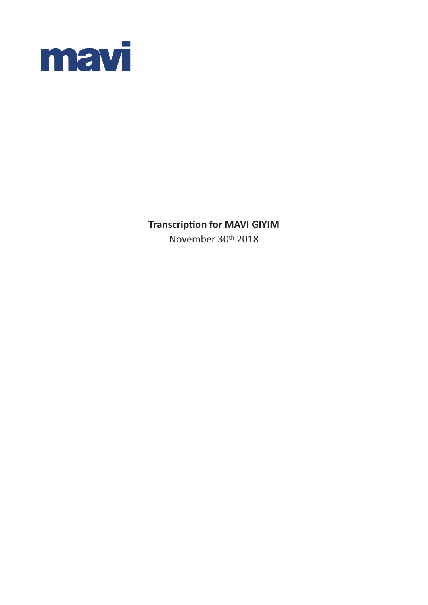

**Transcription for MAVI GIYIM**

November 30th 2018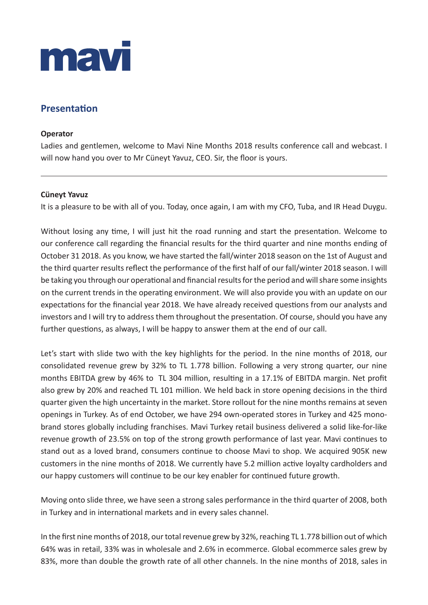

# **Presentation**

# **Operator**

Ladies and gentlemen, welcome to Mavi Nine Months 2018 results conference call and webcast. I will now hand you over to Mr Cüneyt Yavuz, CEO. Sir, the floor is yours.

# **Cüneyt Yavuz**

It is a pleasure to be with all of you. Today, once again, I am with my CFO, Tuba, and IR Head Duygu.

Without losing any time, I will just hit the road running and start the presentation. Welcome to our conference call regarding the financial results for the third quarter and nine months ending of October 31 2018. As you know, we have started the fall/winter 2018 season on the 1st of August and the third quarter results reflect the performance of the first half of our fall/winter 2018 season. I will be taking you through our operational and financial results for the period and will share some insights on the current trends in the operating environment. We will also provide you with an update on our expectations for the financial year 2018. We have already received questions from our analysts and investors and I will try to address them throughout the presentation. Of course, should you have any further questions, as always, I will be happy to answer them at the end of our call.

Let's start with slide two with the key highlights for the period. In the nine months of 2018, our consolidated revenue grew by 32% to TL 1.778 billion. Following a very strong quarter, our nine months EBITDA grew by 46% to TL 304 million, resulting in a 17.1% of EBITDA margin. Net profit also grew by 20% and reached TL 101 million. We held back in store opening decisions in the third quarter given the high uncertainty in the market. Store rollout for the nine months remains at seven openings in Turkey. As of end October, we have 294 own-operated stores in Turkey and 425 monobrand stores globally including franchises. Mavi Turkey retail business delivered a solid like-for-like revenue growth of 23.5% on top of the strong growth performance of last year. Mavi continues to stand out as a loved brand, consumers continue to choose Mavi to shop. We acquired 905K new customers in the nine months of 2018. We currently have 5.2 million active loyalty cardholders and our happy customers will continue to be our key enabler for continued future growth.

Moving onto slide three, we have seen a strong sales performance in the third quarter of 2008, both in Turkey and in international markets and in every sales channel.

In the first nine months of 2018, our total revenue grew by 32%, reaching TL 1.778 billion out of which 64% was in retail, 33% was in wholesale and 2.6% in ecommerce. Global ecommerce sales grew by 83%, more than double the growth rate of all other channels. In the nine months of 2018, sales in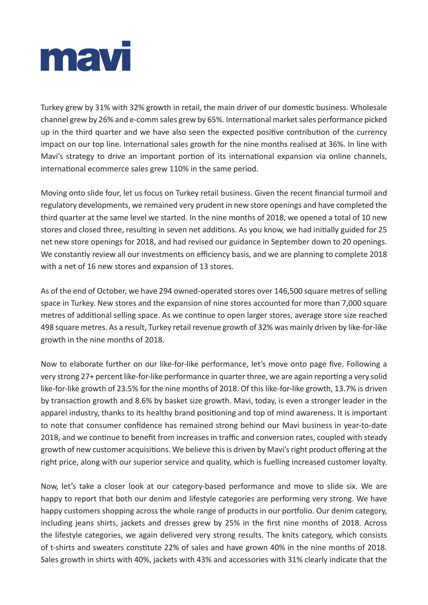

Turkey grew by 31% with 32% growth in retail, the main driver of our domestic business. Wholesale channel grew by 26% and e-comm sales grew by 65%. International market sales performance picked up in the third quarter and we have also seen the expected positive contribution of the currency impact on our top line. International sales growth for the nine months realised at 36%. In line with Mavi's strategy to drive an important portion of its international expansion via online channels, international ecommerce sales grew 110% in the same period.

Moving onto slide four, let us focus on Turkey retail business. Given the recent financial turmoil and regulatory developments, we remained very prudent in new store openings and have completed the third quarter at the same level we started. In the nine months of 2018, we opened a total of 10 new stores and closed three, resulting in seven net additions. As you know, we had initially guided for 25 net new store openings for 2018, and had revised our guidance in September down to 20 openings. We constantly review all our investments on efficiency basis, and we are planning to complete 2018 with a net of 16 new stores and expansion of 13 stores.

As of the end of October, we have 294 owned-operated stores over 146,500 square metres of selling space in Turkey. New stores and the expansion of nine stores accounted for more than 7,000 square metres of additional selling space. As we continue to open larger stores, average store size reached 498 square metres. As a result, Turkey retail revenue growth of 32% was mainly driven by like-for-like growth in the nine months of 2018.

Now to elaborate further on our like-for-like performance, let's move onto page five. Following a very strong 27+ percent like-for-like performance in quarter three, we are again reporting a very solid like-for-like growth of 23.5% for the nine months of 2018. Of this like-for-like growth, 13.7% is driven by transaction growth and 8.6% by basket size growth. Mavi, today, is even a stronger leader in the apparel industry, thanks to its healthy brand positioning and top of mind awareness. It is important to note that consumer confidence has remained strong behind our Mavi business in year-to-date 2018, and we continue to benefit from increases in traffic and conversion rates, coupled with steady growth of new customer acquisitions. We believe this is driven by Mavi's right product offering at the right price, along with our superior service and quality, which is fuelling increased customer loyalty.

Now, let's take a closer look at our category-based performance and move to slide six. We are happy to report that both our denim and lifestyle categories are performing very strong. We have happy customers shopping across the whole range of products in our portfolio. Our denim category, including jeans shirts, jackets and dresses grew by 25% in the first nine months of 2018. Across the lifestyle categories, we again delivered very strong results. The knits category, which consists of t-shirts and sweaters constitute 22% of sales and have grown 40% in the nine months of 2018. Sales growth in shirts with 40%, jackets with 43% and accessories with 31% clearly indicate that the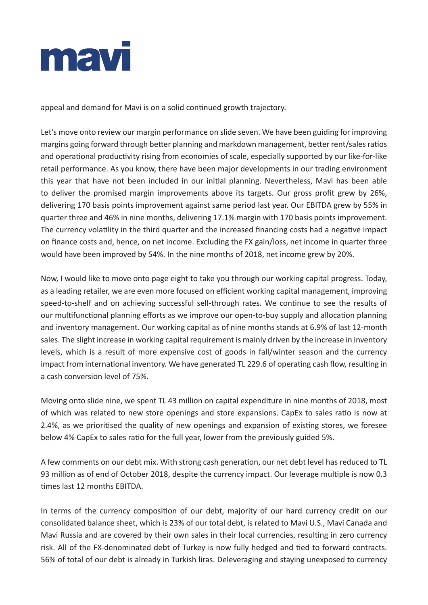

appeal and demand for Mavi is on a solid continued growth trajectory.

Let's move onto review our margin performance on slide seven. We have been guiding for improving margins going forward through better planning and markdown management, better rent/sales ratios and operational productivity rising from economies of scale, especially supported by our like-for-like retail performance. As you know, there have been major developments in our trading environment this year that have not been included in our initial planning. Nevertheless, Mavi has been able to deliver the promised margin improvements above its targets. Our gross profit grew by 26%, delivering 170 basis points improvement against same period last year. Our EBITDA grew by 55% in quarter three and 46% in nine months, delivering 17.1% margin with 170 basis points improvement. The currency volatility in the third quarter and the increased financing costs had a negative impact on finance costs and, hence, on net income. Excluding the FX gain/loss, net income in quarter three would have been improved by 54%. In the nine months of 2018, net income grew by 20%.

Now, I would like to move onto page eight to take you through our working capital progress. Today, as a leading retailer, we are even more focused on efficient working capital management, improving speed-to-shelf and on achieving successful sell-through rates. We continue to see the results of our multifunctional planning efforts as we improve our open-to-buy supply and allocation planning and inventory management. Our working capital as of nine months stands at 6.9% of last 12-month sales. The slight increase in working capital requirement is mainly driven by the increase in inventory levels, which is a result of more expensive cost of goods in fall/winter season and the currency impact from international inventory. We have generated TL 229.6 of operating cash flow, resulting in a cash conversion level of 75%.

Moving onto slide nine, we spent TL 43 million on capital expenditure in nine months of 2018, most of which was related to new store openings and store expansions. CapEx to sales ratio is now at 2.4%, as we prioritised the quality of new openings and expansion of existing stores, we foresee below 4% CapEx to sales ratio for the full year, lower from the previously guided 5%.

A few comments on our debt mix. With strong cash generation, our net debt level has reduced to TL 93 million as of end of October 2018, despite the currency impact. Our leverage multiple is now 0.3 times last 12 months EBITDA.

In terms of the currency composition of our debt, majority of our hard currency credit on our consolidated balance sheet, which is 23% of our total debt, is related to Mavi U.S., Mavi Canada and Mavi Russia and are covered by their own sales in their local currencies, resulting in zero currency risk. All of the FX-denominated debt of Turkey is now fully hedged and tied to forward contracts. 56% of total of our debt is already in Turkish liras. Deleveraging and staying unexposed to currency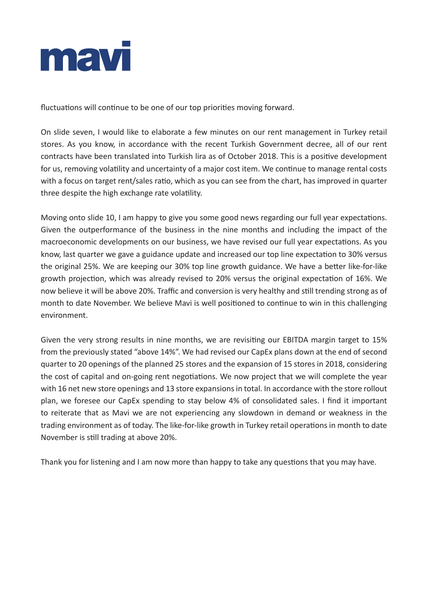

fluctuations will continue to be one of our top priorities moving forward.

On slide seven, I would like to elaborate a few minutes on our rent management in Turkey retail stores. As you know, in accordance with the recent Turkish Government decree, all of our rent contracts have been translated into Turkish lira as of October 2018. This is a positive development for us, removing volatility and uncertainty of a major cost item. We continue to manage rental costs with a focus on target rent/sales ratio, which as you can see from the chart, has improved in quarter three despite the high exchange rate volatility.

Moving onto slide 10, I am happy to give you some good news regarding our full year expectations. Given the outperformance of the business in the nine months and including the impact of the macroeconomic developments on our business, we have revised our full year expectations. As you know, last quarter we gave a guidance update and increased our top line expectation to 30% versus the original 25%. We are keeping our 30% top line growth guidance. We have a better like-for-like growth projection, which was already revised to 20% versus the original expectation of 16%. We now believe it will be above 20%. Traffic and conversion is very healthy and still trending strong as of month to date November. We believe Mavi is well positioned to continue to win in this challenging environment.

Given the very strong results in nine months, we are revisiting our EBITDA margin target to 15% from the previously stated "above 14%". We had revised our CapEx plans down at the end of second quarter to 20 openings of the planned 25 stores and the expansion of 15 stores in 2018, considering the cost of capital and on-going rent negotiations. We now project that we will complete the year with 16 net new store openings and 13 store expansions in total. In accordance with the store rollout plan, we foresee our CapEx spending to stay below 4% of consolidated sales. I find it important to reiterate that as Mavi we are not experiencing any slowdown in demand or weakness in the trading environment as of today. The like-for-like growth in Turkey retail operations in month to date November is still trading at above 20%.

Thank you for listening and I am now more than happy to take any questions that you may have.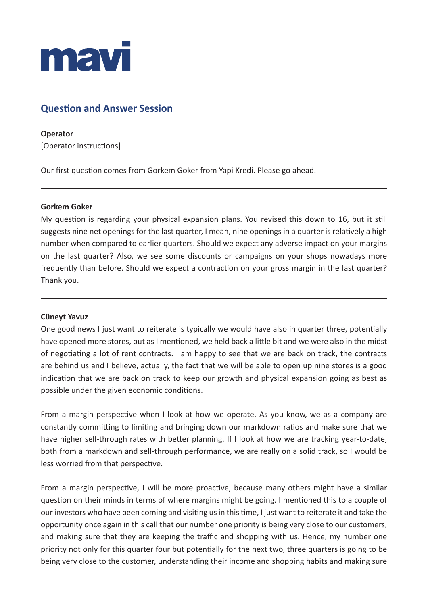

# **Question and Answer Session**

**Operator** [Operator instructions]

Our first question comes from Gorkem Goker from Yapi Kredi. Please go ahead.

# **Gorkem Goker**

My question is regarding your physical expansion plans. You revised this down to 16, but it still suggests nine net openings for the last quarter, I mean, nine openings in a quarter is relatively a high number when compared to earlier quarters. Should we expect any adverse impact on your margins on the last quarter? Also, we see some discounts or campaigns on your shops nowadays more frequently than before. Should we expect a contraction on your gross margin in the last quarter? Thank you.

# **Cüneyt Yavuz**

One good news I just want to reiterate is typically we would have also in quarter three, potentially have opened more stores, but as I mentioned, we held back a little bit and we were also in the midst of negotiating a lot of rent contracts. I am happy to see that we are back on track, the contracts are behind us and I believe, actually, the fact that we will be able to open up nine stores is a good indication that we are back on track to keep our growth and physical expansion going as best as possible under the given economic conditions.

From a margin perspective when I look at how we operate. As you know, we as a company are constantly committing to limiting and bringing down our markdown ratios and make sure that we have higher sell-through rates with better planning. If I look at how we are tracking year-to-date, both from a markdown and sell-through performance, we are really on a solid track, so I would be less worried from that perspective.

From a margin perspective, I will be more proactive, because many others might have a similar question on their minds in terms of where margins might be going. I mentioned this to a couple of our investors who have been coming and visiting us in this time, I just want to reiterate it and take the opportunity once again in this call that our number one priority is being very close to our customers, and making sure that they are keeping the traffic and shopping with us. Hence, my number one priority not only for this quarter four but potentially for the next two, three quarters is going to be being very close to the customer, understanding their income and shopping habits and making sure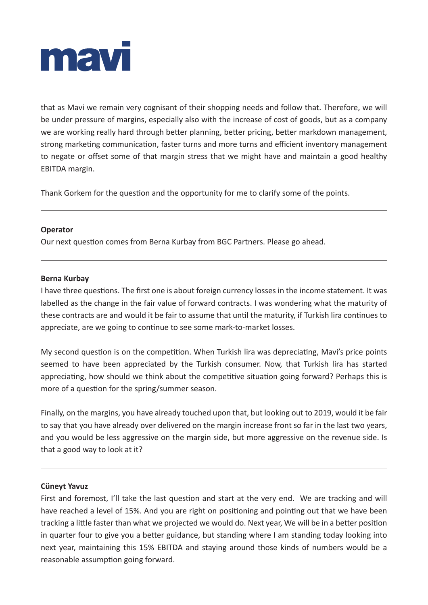

that as Mavi we remain very cognisant of their shopping needs and follow that. Therefore, we will be under pressure of margins, especially also with the increase of cost of goods, but as a company we are working really hard through better planning, better pricing, better markdown management, strong marketing communication, faster turns and more turns and efficient inventory management to negate or offset some of that margin stress that we might have and maintain a good healthy EBITDA margin.

Thank Gorkem for the question and the opportunity for me to clarify some of the points.

#### **Operator**

Our next question comes from Berna Kurbay from BGC Partners. Please go ahead.

#### **Berna Kurbay**

I have three questions. The first one is about foreign currency losses in the income statement. It was labelled as the change in the fair value of forward contracts. I was wondering what the maturity of these contracts are and would it be fair to assume that until the maturity, if Turkish lira continues to appreciate, are we going to continue to see some mark-to-market losses.

My second question is on the competition. When Turkish lira was depreciating, Mavi's price points seemed to have been appreciated by the Turkish consumer. Now, that Turkish lira has started appreciating, how should we think about the competitive situation going forward? Perhaps this is more of a question for the spring/summer season.

Finally, on the margins, you have already touched upon that, but looking out to 2019, would it be fair to say that you have already over delivered on the margin increase front so far in the last two years, and you would be less aggressive on the margin side, but more aggressive on the revenue side. Is that a good way to look at it?

#### **Cüneyt Yavuz**

First and foremost, I'll take the last question and start at the very end. We are tracking and will have reached a level of 15%. And you are right on positioning and pointing out that we have been tracking a little faster than what we projected we would do. Next year, We will be in a better position in quarter four to give you a better guidance, but standing where I am standing today looking into next year, maintaining this 15% EBITDA and staying around those kinds of numbers would be a reasonable assumption going forward.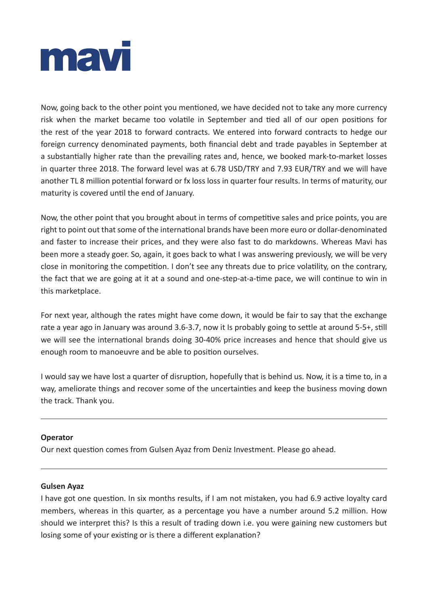

Now, going back to the other point you mentioned, we have decided not to take any more currency risk when the market became too volatile in September and tied all of our open positions for the rest of the year 2018 to forward contracts. We entered into forward contracts to hedge our foreign currency denominated payments, both financial debt and trade payables in September at a substantially higher rate than the prevailing rates and, hence, we booked mark-to-market losses in quarter three 2018. The forward level was at 6.78 USD/TRY and 7.93 EUR/TRY and we will have another TL 8 million potential forward or fx loss loss in quarter four results. In terms of maturity, our maturity is covered until the end of January.

Now, the other point that you brought about in terms of competitive sales and price points, you are right to point out that some of the international brands have been more euro or dollar-denominated and faster to increase their prices, and they were also fast to do markdowns. Whereas Mavi has been more a steady goer. So, again, it goes back to what I was answering previously, we will be very close in monitoring the competition. I don't see any threats due to price volatility, on the contrary, the fact that we are going at it at a sound and one-step-at-a-time pace, we will continue to win in this marketplace.

For next year, although the rates might have come down, it would be fair to say that the exchange rate a year ago in January was around 3.6-3.7, now it Is probably going to settle at around 5-5+, still we will see the international brands doing 30-40% price increases and hence that should give us enough room to manoeuvre and be able to position ourselves.

I would say we have lost a quarter of disruption, hopefully that is behind us. Now, it is a time to, in a way, ameliorate things and recover some of the uncertainties and keep the business moving down the track. Thank you.

# **Operator**

Our next question comes from Gulsen Ayaz from Deniz Investment. Please go ahead.

#### **Gulsen Ayaz**

I have got one question. In six months results, if I am not mistaken, you had 6.9 active loyalty card members, whereas in this quarter, as a percentage you have a number around 5.2 million. How should we interpret this? Is this a result of trading down i.e. you were gaining new customers but losing some of your existing or is there a different explanation?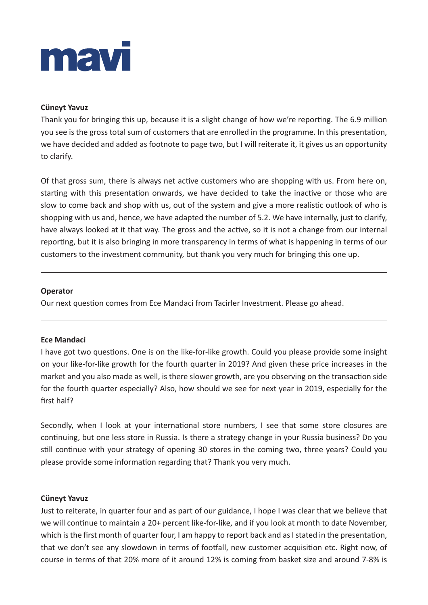# mavi

# **Cüneyt Yavuz**

Thank you for bringing this up, because it is a slight change of how we're reporting. The 6.9 million you see is the gross total sum of customers that are enrolled in the programme. In this presentation, we have decided and added as footnote to page two, but I will reiterate it, it gives us an opportunity to clarify.

Of that gross sum, there is always net active customers who are shopping with us. From here on, starting with this presentation onwards, we have decided to take the inactive or those who are slow to come back and shop with us, out of the system and give a more realistic outlook of who is shopping with us and, hence, we have adapted the number of 5.2. We have internally, just to clarify, have always looked at it that way. The gross and the active, so it is not a change from our internal reporting, but it is also bringing in more transparency in terms of what is happening in terms of our customers to the investment community, but thank you very much for bringing this one up.

# **Operator**

Our next question comes from Ece Mandaci from Tacirler Investment. Please go ahead.

# **Ece Mandaci**

I have got two questions. One is on the like-for-like growth. Could you please provide some insight on your like-for-like growth for the fourth quarter in 2019? And given these price increases in the market and you also made as well, is there slower growth, are you observing on the transaction side for the fourth quarter especially? Also, how should we see for next year in 2019, especially for the first half?

Secondly, when I look at your international store numbers, I see that some store closures are continuing, but one less store in Russia. Is there a strategy change in your Russia business? Do you still continue with your strategy of opening 30 stores in the coming two, three years? Could you please provide some information regarding that? Thank you very much.

# **Cüneyt Yavuz**

Just to reiterate, in quarter four and as part of our guidance, I hope I was clear that we believe that we will continue to maintain a 20+ percent like-for-like, and if you look at month to date November, which is the first month of quarter four, I am happy to report back and as I stated in the presentation, that we don't see any slowdown in terms of footfall, new customer acquisition etc. Right now, of course in terms of that 20% more of it around 12% is coming from basket size and around 7-8% is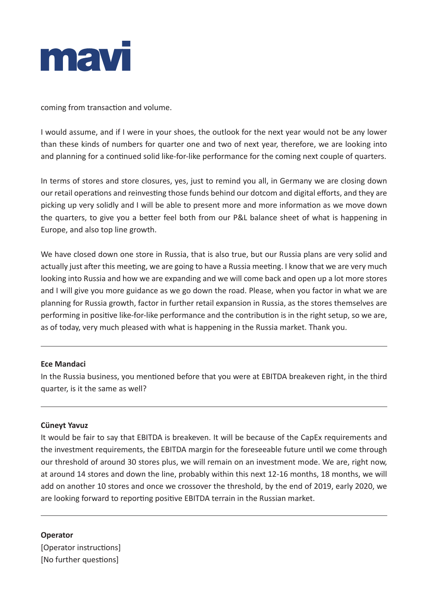

coming from transaction and volume.

I would assume, and if I were in your shoes, the outlook for the next year would not be any lower than these kinds of numbers for quarter one and two of next year, therefore, we are looking into and planning for a continued solid like-for-like performance for the coming next couple of quarters.

In terms of stores and store closures, yes, just to remind you all, in Germany we are closing down our retail operations and reinvesting those funds behind our dotcom and digital efforts, and they are picking up very solidly and I will be able to present more and more information as we move down the quarters, to give you a better feel both from our P&L balance sheet of what is happening in Europe, and also top line growth.

We have closed down one store in Russia, that is also true, but our Russia plans are very solid and actually just after this meeting, we are going to have a Russia meeting. I know that we are very much looking into Russia and how we are expanding and we will come back and open up a lot more stores and I will give you more guidance as we go down the road. Please, when you factor in what we are planning for Russia growth, factor in further retail expansion in Russia, as the stores themselves are performing in positive like-for-like performance and the contribution is in the right setup, so we are, as of today, very much pleased with what is happening in the Russia market. Thank you.

# **Ece Mandaci**

In the Russia business, you mentioned before that you were at EBITDA breakeven right, in the third quarter, is it the same as well?

# **Cüneyt Yavuz**

It would be fair to say that EBITDA is breakeven. It will be because of the CapEx requirements and the investment requirements, the EBITDA margin for the foreseeable future until we come through our threshold of around 30 stores plus, we will remain on an investment mode. We are, right now, at around 14 stores and down the line, probably within this next 12-16 months, 18 months, we will add on another 10 stores and once we crossover the threshold, by the end of 2019, early 2020, we are looking forward to reporting positive EBITDA terrain in the Russian market.

**Operator** [Operator instructions] [No further questions]